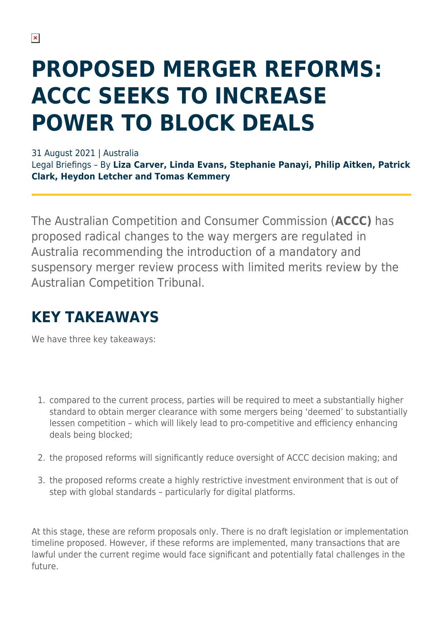# **PROPOSED MERGER REFORMS: ACCC SEEKS TO INCREASE POWER TO BLOCK DEALS**

31 August 2021 | Australia

Legal Briefings – By **Liza Carver, Linda Evans, Stephanie Panayi, Philip Aitken, Patrick Clark, Heydon Letcher and Tomas Kemmery**

The Australian Competition and Consumer Commission (**ACCC)** has proposed radical changes to the way mergers are regulated in Australia recommending the introduction of a mandatory and suspensory merger review process with limited merits review by the Australian Competition Tribunal.

### **KEY TAKEAWAYS**

We have three key takeaways:

- 1. compared to the current process, parties will be required to meet a substantially higher standard to obtain merger clearance with some mergers being 'deemed' to substantially lessen competition – which will likely lead to pro-competitive and efficiency enhancing deals being blocked;
- 2. the proposed reforms will significantly reduce oversight of ACCC decision making; and
- 3. the proposed reforms create a highly restrictive investment environment that is out of step with global standards – particularly for digital platforms.

At this stage, these are reform proposals only. There is no draft legislation or implementation timeline proposed. However, if these reforms are implemented, many transactions that are lawful under the current regime would face significant and potentially fatal challenges in the future.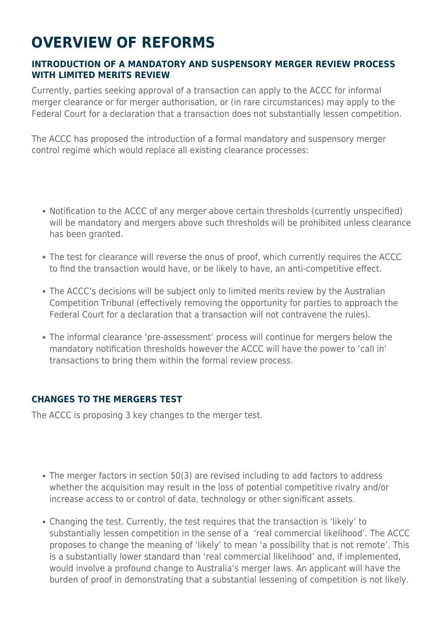## **OVERVIEW OF REFORMS**

#### **INTRODUCTION OF A MANDATORY AND SUSPENSORY MERGER REVIEW PROCESS WITH LIMITED MERITS REVIEW**

Currently, parties seeking approval of a transaction can apply to the ACCC for informal merger clearance or for merger authorisation, or (in rare circumstances) may apply to the Federal Court for a declaration that a transaction does not substantially lessen competition.

The ACCC has proposed the introduction of a formal mandatory and suspensory merger control regime which would replace all existing clearance processes:

- Notification to the ACCC of any merger above certain thresholds (currently unspecified) will be mandatory and mergers above such thresholds will be prohibited unless clearance has been granted.
- The test for clearance will reverse the onus of proof, which currently requires the ACCC to find the transaction would have, or be likely to have, an anti-competitive effect.
- The ACCC's decisions will be subject only to limited merits review by the Australian Competition Tribunal (effectively removing the opportunity for parties to approach the Federal Court for a declaration that a transaction will not contravene the rules).
- The informal clearance 'pre-assessment' process will continue for mergers below the mandatory notification thresholds however the ACCC will have the power to 'call in' transactions to bring them within the formal review process.

### **CHANGES TO THE MERGERS TEST**

The ACCC is proposing 3 key changes to the merger test.

- The merger factors in section 50(3) are revised including to add factors to address whether the acquisition may result in the loss of potential competitive rivalry and/or increase access to or control of data, technology or other significant assets.
- Changing the test. Currently, the test requires that the transaction is 'likely' to substantially lessen competition in the sense of a 'real commercial likelihood'. The ACCC proposes to change the meaning of 'likely' to mean 'a possibility that is not remote'. This is a substantially lower standard than 'real commercial likelihood' and, if implemented, would involve a profound change to Australia's merger laws. An applicant will have the burden of proof in demonstrating that a substantial lessening of competition is not likely.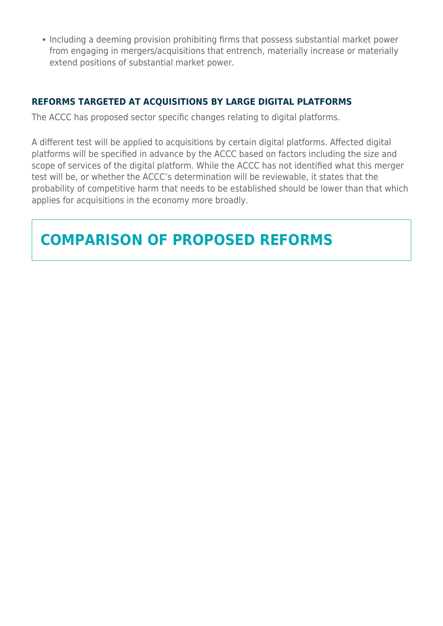• Including a deeming provision prohibiting firms that possess substantial market power from engaging in mergers/acquisitions that entrench, materially increase or materially extend positions of substantial market power.

#### **REFORMS TARGETED AT ACQUISITIONS BY LARGE DIGITAL PLATFORMS**

The ACCC has proposed sector specific changes relating to digital platforms.

A different test will be applied to acquisitions by certain digital platforms. Affected digital platforms will be specified in advance by the ACCC based on factors including the size and scope of services of the digital platform. While the ACCC has not identified what this merger test will be, or whether the ACCC's determination will be reviewable, it states that the probability of competitive harm that needs to be established should be lower than that which applies for acquisitions in the economy more broadly.

### **COMPARISON OF PROPOSED REFORMS**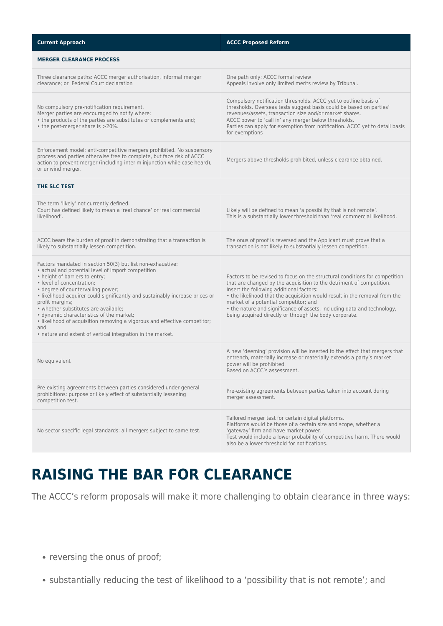| <b>Current Approach</b>                                                                                                                                                                                                                                                                                                                                                                                                                                                                                                                                       | <b>ACCC Proposed Reform</b>                                                                                                                                                                                                                                                                                                                                                                                                                                 |
|---------------------------------------------------------------------------------------------------------------------------------------------------------------------------------------------------------------------------------------------------------------------------------------------------------------------------------------------------------------------------------------------------------------------------------------------------------------------------------------------------------------------------------------------------------------|-------------------------------------------------------------------------------------------------------------------------------------------------------------------------------------------------------------------------------------------------------------------------------------------------------------------------------------------------------------------------------------------------------------------------------------------------------------|
| <b>MERGER CLEARANCE PROCESS</b>                                                                                                                                                                                                                                                                                                                                                                                                                                                                                                                               |                                                                                                                                                                                                                                                                                                                                                                                                                                                             |
| Three clearance paths: ACCC merger authorisation, informal merger<br>clearance; or Federal Court declaration                                                                                                                                                                                                                                                                                                                                                                                                                                                  | One path only: ACCC formal review<br>Appeals involve only limited merits review by Tribunal.                                                                                                                                                                                                                                                                                                                                                                |
| No compulsory pre-notification requirement.<br>Merger parties are encouraged to notify where:<br>• the products of the parties are substitutes or complements and;<br>• the post-merger share is >20%.                                                                                                                                                                                                                                                                                                                                                        | Compulsory notification thresholds. ACCC yet to outline basis of<br>thresholds. Overseas tests suggest basis could be based on parties'<br>revenues/assets, transaction size and/or market shares.<br>ACCC power to 'call in' any merger below thresholds.<br>Parties can apply for exemption from notification. ACCC yet to detail basis<br>for exemptions                                                                                                 |
| Enforcement model: anti-competitive mergers prohibited. No suspensory<br>process and parties otherwise free to complete, but face risk of ACCC<br>action to prevent merger (including interim injunction while case heard),<br>or unwind merger.                                                                                                                                                                                                                                                                                                              | Mergers above thresholds prohibited, unless clearance obtained.                                                                                                                                                                                                                                                                                                                                                                                             |
| THE SLC TEST                                                                                                                                                                                                                                                                                                                                                                                                                                                                                                                                                  |                                                                                                                                                                                                                                                                                                                                                                                                                                                             |
| The term 'likely' not currently defined.<br>Court has defined likely to mean a 'real chance' or 'real commercial<br>likelihood'.                                                                                                                                                                                                                                                                                                                                                                                                                              | Likely will be defined to mean 'a possibility that is not remote'.<br>This is a substantially lower threshold than 'real commercial likelihood.                                                                                                                                                                                                                                                                                                             |
| ACCC bears the burden of proof in demonstrating that a transaction is<br>likely to substantially lessen competition.                                                                                                                                                                                                                                                                                                                                                                                                                                          | The onus of proof is reversed and the Applicant must prove that a<br>transaction is not likely to substantially lessen competition.                                                                                                                                                                                                                                                                                                                         |
| Factors mandated in section 50(3) but list non-exhaustive:<br>• actual and potential level of import competition<br>• height of barriers to entry;<br>· level of concentration;<br>• degree of countervailing power;<br>. likelihood acquirer could significantly and sustainably increase prices or<br>profit margins;<br>• whether substitutes are available;<br>· dynamic characteristics of the market;<br>. likelihood of acquisition removing a vigorous and effective competitor;<br>and<br>• nature and extent of vertical integration in the market. | Factors to be revised to focus on the structural conditions for competition<br>that are changed by the acquisition to the detriment of competition.<br>Insert the following additional factors:<br>• the likelihood that the acquisition would result in the removal from the<br>market of a potential competitor; and<br>• the nature and significance of assets, including data and technology,<br>being acquired directly or through the body corporate. |
| No equivalent                                                                                                                                                                                                                                                                                                                                                                                                                                                                                                                                                 | A new 'deeming' provision will be inserted to the effect that mergers that<br>entrench, materially increase or materially extends a party's market<br>power will be prohibited.<br>Based on ACCC's assessment.                                                                                                                                                                                                                                              |
| Pre-existing agreements between parties considered under general<br>prohibitions: purpose or likely effect of substantially lessening<br>competition test.                                                                                                                                                                                                                                                                                                                                                                                                    | Pre-existing agreements between parties taken into account during<br>merger assessment.                                                                                                                                                                                                                                                                                                                                                                     |
| No sector-specific legal standards: all mergers subject to same test.                                                                                                                                                                                                                                                                                                                                                                                                                                                                                         | Tailored merger test for certain digital platforms.<br>Platforms would be those of a certain size and scope, whether a<br>'gateway' firm and have market power.<br>Test would include a lower probability of competitive harm. There would<br>also be a lower threshold for notifications.                                                                                                                                                                  |

### **RAISING THE BAR FOR CLEARANCE**

The ACCC's reform proposals will make it more challenging to obtain clearance in three ways:

- reversing the onus of proof;
- substantially reducing the test of likelihood to a 'possibility that is not remote'; and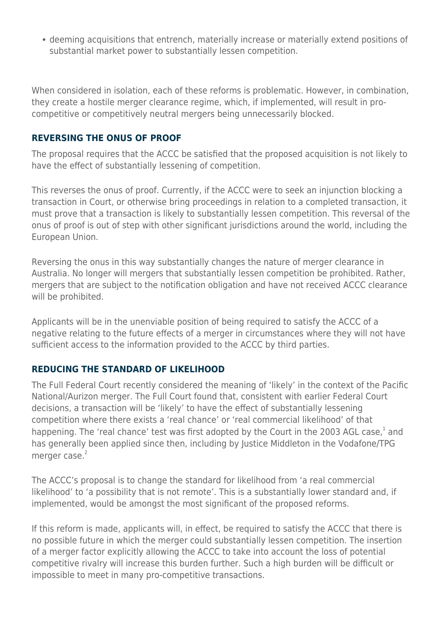deeming acquisitions that entrench, materially increase or materially extend positions of substantial market power to substantially lessen competition.

When considered in isolation, each of these reforms is problematic. However, in combination, they create a hostile merger clearance regime, which, if implemented, will result in procompetitive or competitively neutral mergers being unnecessarily blocked.

#### **REVERSING THE ONUS OF PROOF**

The proposal requires that the ACCC be satisfied that the proposed acquisition is not likely to have the effect of substantially lessening of competition.

This reverses the onus of proof. Currently, if the ACCC were to seek an injunction blocking a transaction in Court, or otherwise bring proceedings in relation to a completed transaction, it must prove that a transaction is likely to substantially lessen competition. This reversal of the onus of proof is out of step with other significant jurisdictions around the world, including the European Union.

Reversing the onus in this way substantially changes the nature of merger clearance in Australia. No longer will mergers that substantially lessen competition be prohibited. Rather, mergers that are subject to the notification obligation and have not received ACCC clearance will be prohibited.

Applicants will be in the unenviable position of being required to satisfy the ACCC of a negative relating to the future effects of a merger in circumstances where they will not have sufficient access to the information provided to the ACCC by third parties.

#### **REDUCING THE STANDARD OF LIKELIHOOD**

The Full Federal Court recently considered the meaning of 'likely' in the context of the Pacific National/Aurizon merger. The Full Court found that, consistent with earlier Federal Court decisions, a transaction will be 'likely' to have the effect of substantially lessening competition where there exists a 'real chance' or 'real commercial likelihood' of that happening. The 'real chance' test was first adopted by the Court in the 2003 AGL case,<sup>1</sup> and has generally been applied since then, including by Justice Middleton in the Vodafone/TPG merger case.<sup>2</sup>

The ACCC's proposal is to change the standard for likelihood from 'a real commercial likelihood' to 'a possibility that is not remote'. This is a substantially lower standard and, if implemented, would be amongst the most significant of the proposed reforms.

If this reform is made, applicants will, in effect, be required to satisfy the ACCC that there is no possible future in which the merger could substantially lessen competition. The insertion of a merger factor explicitly allowing the ACCC to take into account the loss of potential competitive rivalry will increase this burden further. Such a high burden will be difficult or impossible to meet in many pro-competitive transactions.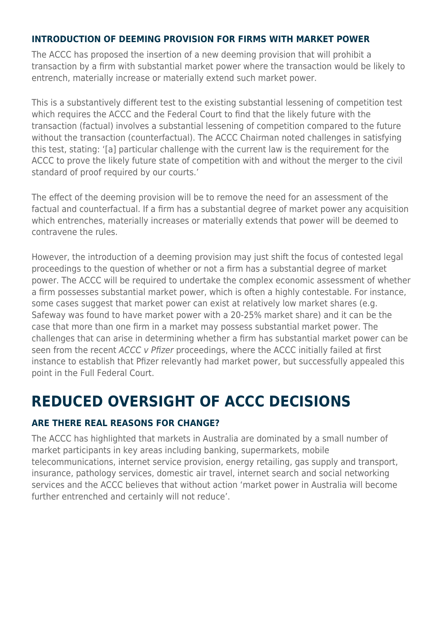#### **INTRODUCTION OF DEEMING PROVISION FOR FIRMS WITH MARKET POWER**

The ACCC has proposed the insertion of a new deeming provision that will prohibit a transaction by a firm with substantial market power where the transaction would be likely to entrench, materially increase or materially extend such market power.

This is a substantively different test to the existing substantial lessening of competition test which requires the ACCC and the Federal Court to find that the likely future with the transaction (factual) involves a substantial lessening of competition compared to the future without the transaction (counterfactual). The ACCC Chairman noted challenges in satisfying this test, stating: '[a] particular challenge with the current law is the requirement for the ACCC to prove the likely future state of competition with and without the merger to the civil standard of proof required by our courts.'

The effect of the deeming provision will be to remove the need for an assessment of the factual and counterfactual. If a firm has a substantial degree of market power any acquisition which entrenches, materially increases or materially extends that power will be deemed to contravene the rules.

However, the introduction of a deeming provision may just shift the focus of contested legal proceedings to the question of whether or not a firm has a substantial degree of market power. The ACCC will be required to undertake the complex economic assessment of whether a firm possesses substantial market power, which is often a highly contestable. For instance, some cases suggest that market power can exist at relatively low market shares (e.g. Safeway was found to have market power with a 20-25% market share) and it can be the case that more than one firm in a market may possess substantial market power. The challenges that can arise in determining whether a firm has substantial market power can be seen from the recent ACCC v Pfizer proceedings, where the ACCC initially failed at first instance to establish that Pfizer relevantly had market power, but successfully appealed this point in the Full Federal Court.

### **REDUCED OVERSIGHT OF ACCC DECISIONS**

#### **ARE THERE REAL REASONS FOR CHANGE?**

The ACCC has highlighted that markets in Australia are dominated by a small number of market participants in key areas including banking, supermarkets, mobile telecommunications, internet service provision, energy retailing, gas supply and transport, insurance, pathology services, domestic air travel, internet search and social networking services and the ACCC believes that without action 'market power in Australia will become further entrenched and certainly will not reduce'.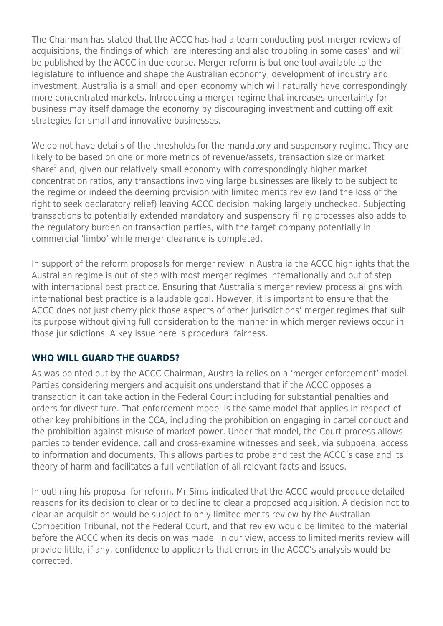The Chairman has stated that the ACCC has had a team conducting post-merger reviews of acquisitions, the findings of which 'are interesting and also troubling in some cases' and will be published by the ACCC in due course. Merger reform is but one tool available to the legislature to influence and shape the Australian economy, development of industry and investment. Australia is a small and open economy which will naturally have correspondingly more concentrated markets. Introducing a merger regime that increases uncertainty for business may itself damage the economy by discouraging investment and cutting off exit strategies for small and innovative businesses.

We do not have details of the thresholds for the mandatory and suspensory regime. They are likely to be based on one or more metrics of revenue/assets, transaction size or market share<sup>3</sup> and, given our relatively small economy with correspondingly higher market concentration ratios, any transactions involving large businesses are likely to be subject to the regime or indeed the deeming provision with limited merits review (and the loss of the right to seek declaratory relief) leaving ACCC decision making largely unchecked. Subjecting transactions to potentially extended mandatory and suspensory filing processes also adds to the regulatory burden on transaction parties, with the target company potentially in commercial 'limbo' while merger clearance is completed.

In support of the reform proposals for merger review in Australia the ACCC highlights that the Australian regime is out of step with most merger regimes internationally and out of step with international best practice. Ensuring that Australia's merger review process aligns with international best practice is a laudable goal. However, it is important to ensure that the ACCC does not just cherry pick those aspects of other jurisdictions' merger regimes that suit its purpose without giving full consideration to the manner in which merger reviews occur in those jurisdictions. A key issue here is procedural fairness.

#### **WHO WILL GUARD THE GUARDS?**

As was pointed out by the ACCC Chairman, Australia relies on a 'merger enforcement' model. Parties considering mergers and acquisitions understand that if the ACCC opposes a transaction it can take action in the Federal Court including for substantial penalties and orders for divestiture. That enforcement model is the same model that applies in respect of other key prohibitions in the CCA, including the prohibition on engaging in cartel conduct and the prohibition against misuse of market power. Under that model, the Court process allows parties to tender evidence, call and cross-examine witnesses and seek, via subpoena, access to information and documents. This allows parties to probe and test the ACCC's case and its theory of harm and facilitates a full ventilation of all relevant facts and issues.

In outlining his proposal for reform, Mr Sims indicated that the ACCC would produce detailed reasons for its decision to clear or to decline to clear a proposed acquisition. A decision not to clear an acquisition would be subject to only limited merits review by the Australian Competition Tribunal, not the Federal Court, and that review would be limited to the material before the ACCC when its decision was made. In our view, access to limited merits review will provide little, if any, confidence to applicants that errors in the ACCC's analysis would be corrected.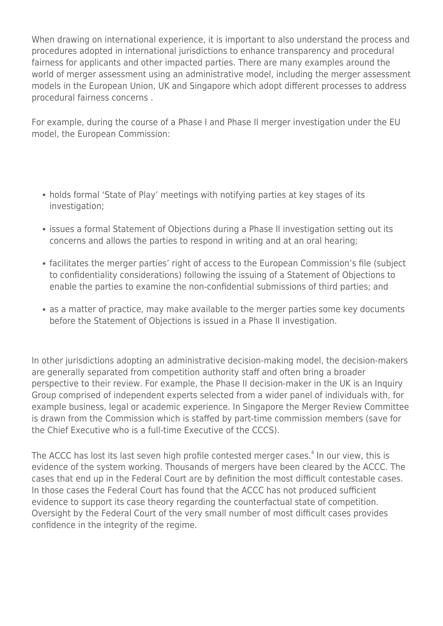When drawing on international experience, it is important to also understand the process and procedures adopted in international jurisdictions to enhance transparency and procedural fairness for applicants and other impacted parties. There are many examples around the world of merger assessment using an administrative model, including the merger assessment models in the European Union, UK and Singapore which adopt different processes to address procedural fairness concerns .

For example, during the course of a Phase I and Phase II merger investigation under the EU model, the European Commission:

- holds formal 'State of Play' meetings with notifying parties at key stages of its investigation;
- issues a formal Statement of Objections during a Phase II investigation setting out its concerns and allows the parties to respond in writing and at an oral hearing;
- facilitates the merger parties' right of access to the European Commission's file (subject to confidentiality considerations) following the issuing of a Statement of Objections to enable the parties to examine the non-confidential submissions of third parties; and
- as a matter of practice, may make available to the merger parties some key documents before the Statement of Objections is issued in a Phase II investigation.

In other jurisdictions adopting an administrative decision-making model, the decision-makers are generally separated from competition authority staff and often bring a broader perspective to their review. For example, the Phase II decision-maker in the UK is an Inquiry Group comprised of independent experts selected from a wider panel of individuals with, for example business, legal or academic experience. In Singapore the Merger Review Committee is drawn from the Commission which is staffed by part-time commission members (save for the Chief Executive who is a full-time Executive of the CCCS).

The ACCC has lost its last seven high profile contested merger cases.<sup>4</sup> In our view, this is evidence of the system working. Thousands of mergers have been cleared by the ACCC. The cases that end up in the Federal Court are by definition the most difficult contestable cases. In those cases the Federal Court has found that the ACCC has not produced sufficient evidence to support its case theory regarding the counterfactual state of competition. Oversight by the Federal Court of the very small number of most difficult cases provides confidence in the integrity of the regime.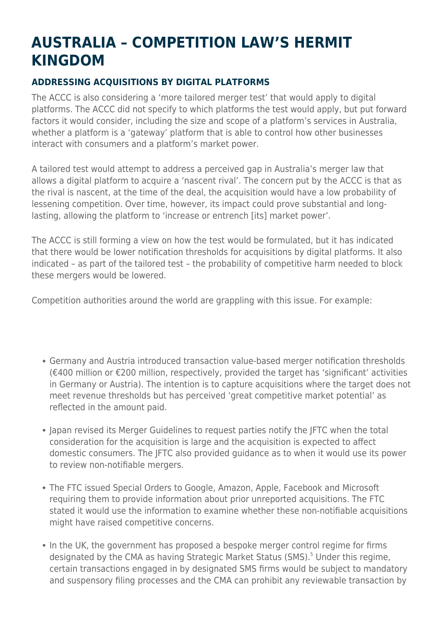## **AUSTRALIA – COMPETITION LAW'S HERMIT KINGDOM**

### **ADDRESSING ACQUISITIONS BY DIGITAL PLATFORMS**

The ACCC is also considering a 'more tailored merger test' that would apply to digital platforms. The ACCC did not specify to which platforms the test would apply, but put forward factors it would consider, including the size and scope of a platform's services in Australia, whether a platform is a 'gateway' platform that is able to control how other businesses interact with consumers and a platform's market power.

A tailored test would attempt to address a perceived gap in Australia's merger law that allows a digital platform to acquire a 'nascent rival'. The concern put by the ACCC is that as the rival is nascent, at the time of the deal, the acquisition would have a low probability of lessening competition. Over time, however, its impact could prove substantial and longlasting, allowing the platform to 'increase or entrench [its] market power'.

The ACCC is still forming a view on how the test would be formulated, but it has indicated that there would be lower notification thresholds for acquisitions by digital platforms. It also indicated – as part of the tailored test – the probability of competitive harm needed to block these mergers would be lowered.

Competition authorities around the world are grappling with this issue. For example:

- Germany and Austria introduced transaction value-based merger notification thresholds (€400 million or €200 million, respectively, provided the target has 'significant' activities in Germany or Austria). The intention is to capture acquisitions where the target does not meet revenue thresholds but has perceived 'great competitive market potential' as reflected in the amount paid.
- Iapan revised its Merger Guidelines to request parties notify the IFTC when the total consideration for the acquisition is large and the acquisition is expected to affect domestic consumers. The JFTC also provided guidance as to when it would use its power to review non-notifiable mergers.
- The FTC issued Special Orders to Google, Amazon, Apple, Facebook and Microsoft requiring them to provide information about prior unreported acquisitions. The FTC stated it would use the information to examine whether these non-notifiable acquisitions might have raised competitive concerns.
- In the UK, the government has proposed a bespoke merger control regime for firms designated by the CMA as having Strategic Market Status (SMS).<sup>5</sup> Under this regime, certain transactions engaged in by designated SMS firms would be subject to mandatory and suspensory filing processes and the CMA can prohibit any reviewable transaction by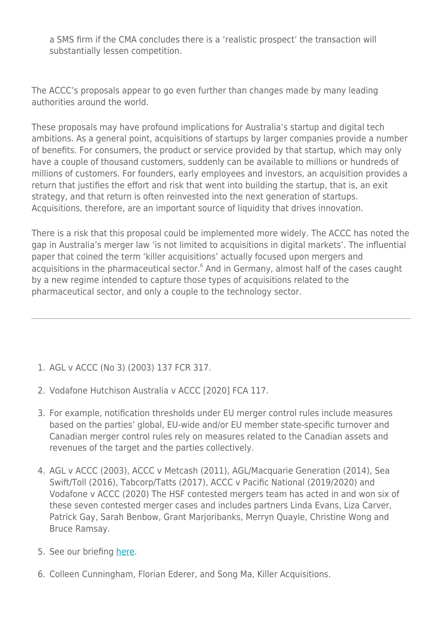a SMS firm if the CMA concludes there is a 'realistic prospect' the transaction will substantially lessen competition.

The ACCC's proposals appear to go even further than changes made by many leading authorities around the world.

These proposals may have profound implications for Australia's startup and digital tech ambitions. As a general point, acquisitions of startups by larger companies provide a number of benefits. For consumers, the product or service provided by that startup, which may only have a couple of thousand customers, suddenly can be available to millions or hundreds of millions of customers. For founders, early employees and investors, an acquisition provides a return that justifies the effort and risk that went into building the startup, that is, an exit strategy, and that return is often reinvested into the next generation of startups. Acquisitions, therefore, are an important source of liquidity that drives innovation.

There is a risk that this proposal could be implemented more widely. The ACCC has noted the gap in Australia's merger law 'is not limited to acquisitions in digital markets'. The influential paper that coined the term 'killer acquisitions' actually focused upon mergers and acquisitions in the pharmaceutical sector.<sup>6</sup> And in Germany, almost half of the cases caught by a new regime intended to capture those types of acquisitions related to the pharmaceutical sector, and only a couple to the technology sector.

- 1. AGL v ACCC (No 3) (2003) 137 FCR 317.
- 2. Vodafone Hutchison Australia v ACCC [2020] FCA 117.
- 3. For example, notification thresholds under EU merger control rules include measures based on the parties' global, EU-wide and/or EU member state-specific turnover and Canadian merger control rules rely on measures related to the Canadian assets and revenues of the target and the parties collectively.
- 4. AGL v ACCC (2003), ACCC v Metcash (2011), AGL/Macquarie Generation (2014), Sea Swift/Toll (2016), Tabcorp/Tatts (2017), ACCC v Pacific National (2019/2020) and Vodafone v ACCC (2020) The HSF contested mergers team has acted in and won six of these seven contested merger cases and includes partners Linda Evans, Liza Carver, Patrick Gay, Sarah Benbow, Grant Marjoribanks, Merryn Quayle, Christine Wong and Bruce Ramsay.
- 5. See our briefing [here.](https://hsfnotes.com/crt/2021/07/27/uk-government-consults-on-proposals-for-a-new-pro-competition-regime-for-digital-markets/)
- 6. Colleen Cunningham, Florian Ederer, and Song Ma, Killer Acquisitions.